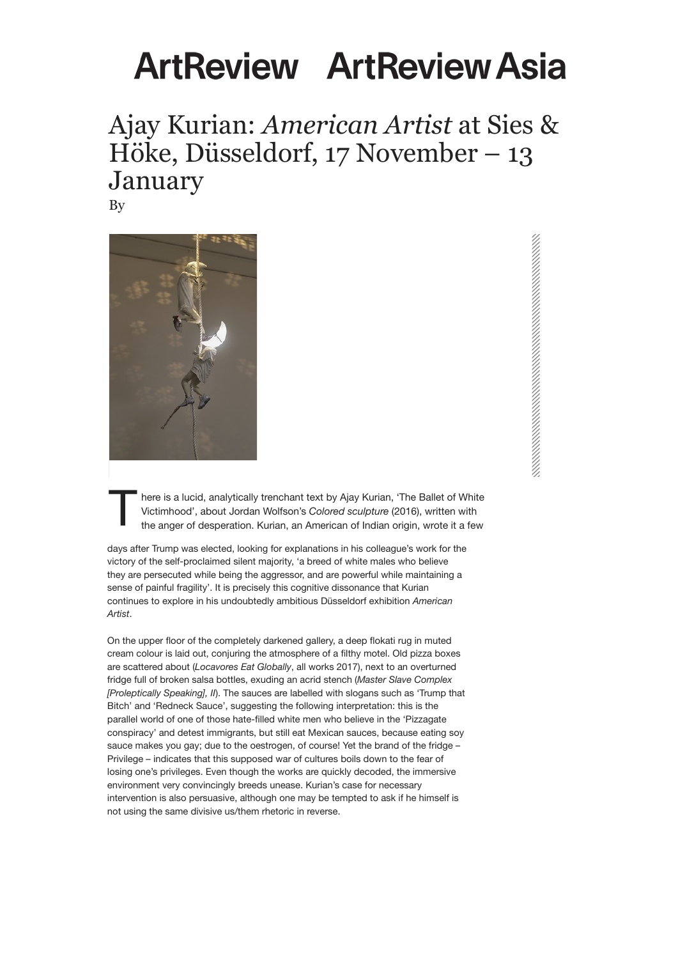## **ALTREVIEW ALTREVIEW ASIA**

## Ajay Kurian: *American Artist* at Sies & Höke, Düsseldorf, 17 November – 13 January

By



There is a lucid, analytically trenchant text by Ajay Kurian, 'The Ballet of White<br>Victimhood', about Jordan Wolfson's Colored sculpture (2016), written with<br>the anger of desperation. Kurian, an American of Indian origin, Victimhood', about Jordan Wolfson's *Colored sculpture* (2016), written with

days after Trump was elected, looking for explanations in his colleague's work for the victory of the self-proclaimed silent majority, 'a breed of white males who believe they are persecuted while being the aggressor, and are powerful while maintaining a sense of painful fragility'. It is precisely this cognitive dissonance that Kurian continues to explore in his undoubtedly ambitious Düsseldorf exhibition *American Artist*.

On the upper floor of the completely darkened gallery, a deep flokati rug in muted cream colour is laid out, conjuring the atmosphere of a filthy motel. Old pizza boxes are scattered about (*Locavores Eat Globally*, all works 2017), next to an overturned fridge full of broken salsa bottles, exuding an acrid stench (*Master Slave Complex [Proleptically Speaking], II*). The sauces are labelled with slogans such as 'Trump that Bitch' and 'Redneck Sauce', suggesting the following interpretation: this is the parallel world of one of those hate-filled white men who believe in the 'Pizzagate conspiracy' and detest immigrants, but still eat Mexican sauces, because eating soy sauce makes you gay; due to the oestrogen, of course! Yet the brand of the fridge – Privilege – indicates that this supposed war of cultures boils down to the fear of losing one's privileges. Even though the works are quickly decoded, the immersive environment very convincingly breeds unease. Kurian's case for necessary intervention is also persuasive, although one may be tempted to ask if he himself is not using the same divisive us/them rhetoric in reverse.

significantly more complex. Accompanied by Bobby Darin crooning *Mack the Knife* (1959), two figures hang from a rope, the upper kicking the lower in the face. The figures' faces are made of sunglasses-wearing crescent moons, inspired by an old McDonald's advertising character called Mac Tonight, which, like Pepe the Frog, is very popular in alt-right memes on 4Chan and 8Chan. Again one is confronted with the coarse social Darwinism of the American right, which here also turns inward, since one Mac Tonight is beating up another. Via the music, Kurian interlaces the whole thing with the chequered history of the 'murder ballad' *Mack the Knife* from Bertolt Brecht's 1928 *Threepenny Opera* (incidentally also the song in the ad